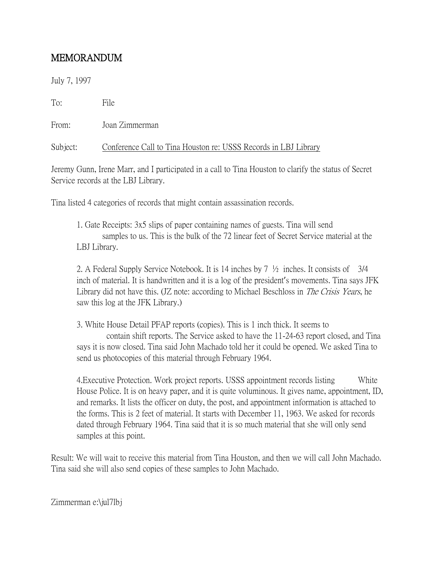## MEMORANDUM

July 7, 1997

To: File

From: Joan Zimmerman

Subject: Conference Call to Tina Houston re: USSS Records in LBJ Library

Jeremy Gunn, Irene Marr, and I participated in a call to Tina Houston to clarify the status of Secret Service records at the LBJ Library.

Tina listed 4 categories of records that might contain assassination records.

1. Gate Receipts: 3x5 slips of paper containing names of guests. Tina will send samples to us. This is the bulk of the 72 linear feet of Secret Service material at the LBJ Library.

2. A Federal Supply Service Notebook. It is 14 inches by 7 ½ inches. It consists of 3/4 inch of material. It is handwritten and it is a log of the president's movements. Tina says JFK Library did not have this. (JZ note: according to Michael Beschloss in *The Crisis Years*, he saw this log at the JFK Library.)

3. White House Detail PFAP reports (copies). This is 1 inch thick. It seems to contain shift reports. The Service asked to have the 11-24-63 report closed, and Tina says it is now closed. Tina said John Machado told her it could be opened. We asked Tina to send us photocopies of this material through February 1964.

4.Executive Protection. Work project reports. USSS appointment records listing White House Police. It is on heavy paper, and it is quite voluminous. It gives name, appointment, ID, and remarks. It lists the officer on duty, the post, and appointment information is attached to the forms. This is 2 feet of material. It starts with December 11, 1963. We asked for records dated through February 1964. Tina said that it is so much material that she will only send samples at this point.

Result: We will wait to receive this material from Tina Houston, and then we will call John Machado. Tina said she will also send copies of these samples to John Machado.

Zimmerman e:\jul7lbj